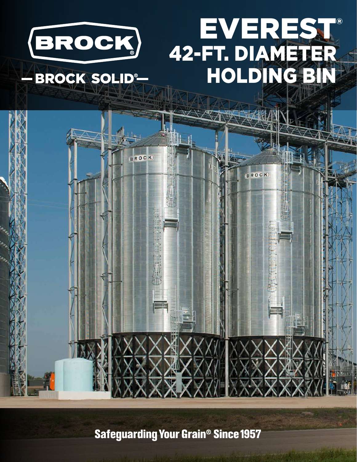

**Safeguarding Your Grain<sup>®</sup> Since 1957**